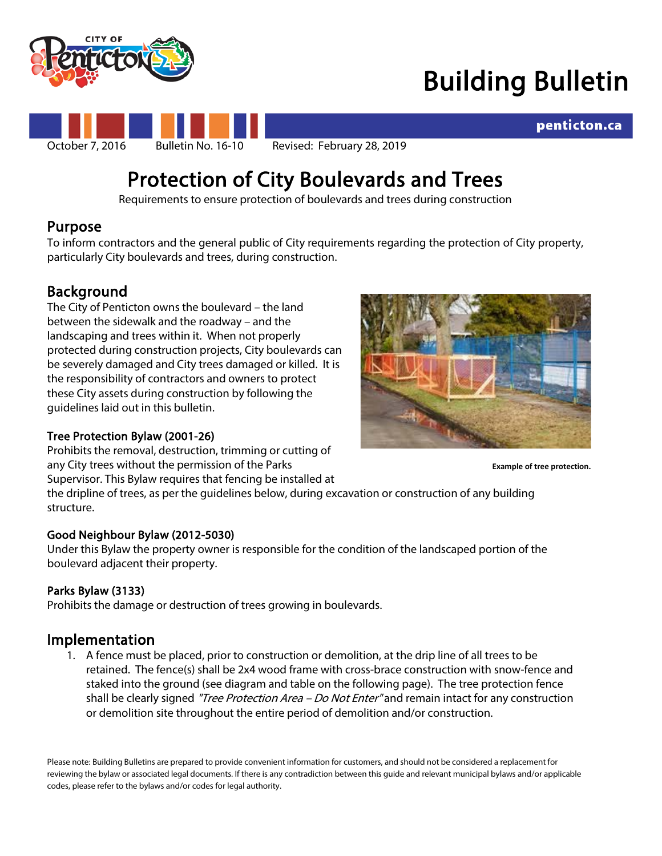

## Building Bulletin



### penticton.ca

# Protection of City Boulevards and Trees<br>Requirements to ensure protection of boulevards and trees during construction

### Purpose

To inform contractors and the general public of City requirements regarding the protection of City property, particularly City boulevards and trees, during construction.

**Background**<br>The City of Penticton owns the boulevard – the land between the sidewalk and the roadway – and the landscaping and trees within it. When not properly protected during construction projects, City boulevards can be severely damaged and City trees damaged or killed. It is the responsibility of contractors and owners to protect these City assets during construction by following the guidelines laid out in this bulletin.

#### Tree Protection Bylaw (2001-26)

Prohibits the removal, destruction, trimming or cutting of any City trees without the permission of the Parks Supervisor. This Bylaw requires that fencing be installed at



**Example of tree protection.**

the dripline of trees, as per the guidelines below, during excavation or construction of any building structure.

#### Good Neighbour Bylaw (2012-5030)

Under this Bylaw the property owner is responsible for the condition of the landscaped portion of the boulevard adjacent their property.

#### Parks Bylaw (3133)

Prohibits the damage or destruction of trees growing in boulevards.

**Implementation**<br>1. A fence must be placed, prior to construction or demolition, at the drip line of all trees to be retained. The fence(s) shall be 2x4 wood frame with cross-brace construction with snow-fence and staked into the ground (see diagram and table on the following page). The tree protection fence shall be clearly signed "*Tree Protection Area – Do Not Enter*" and remain intact for any construction or demolition site throughout the entire period of demolition and/or construction.

Please note: Building Bulletins are prepared to provide convenient information for customers, and should not be considered a replacement for reviewing the bylaw or associated legal documents. If there is any contradiction between this guide and relevant municipal bylaws and/or applicable codes, please refer to the bylaws and/or codes for legal authority.